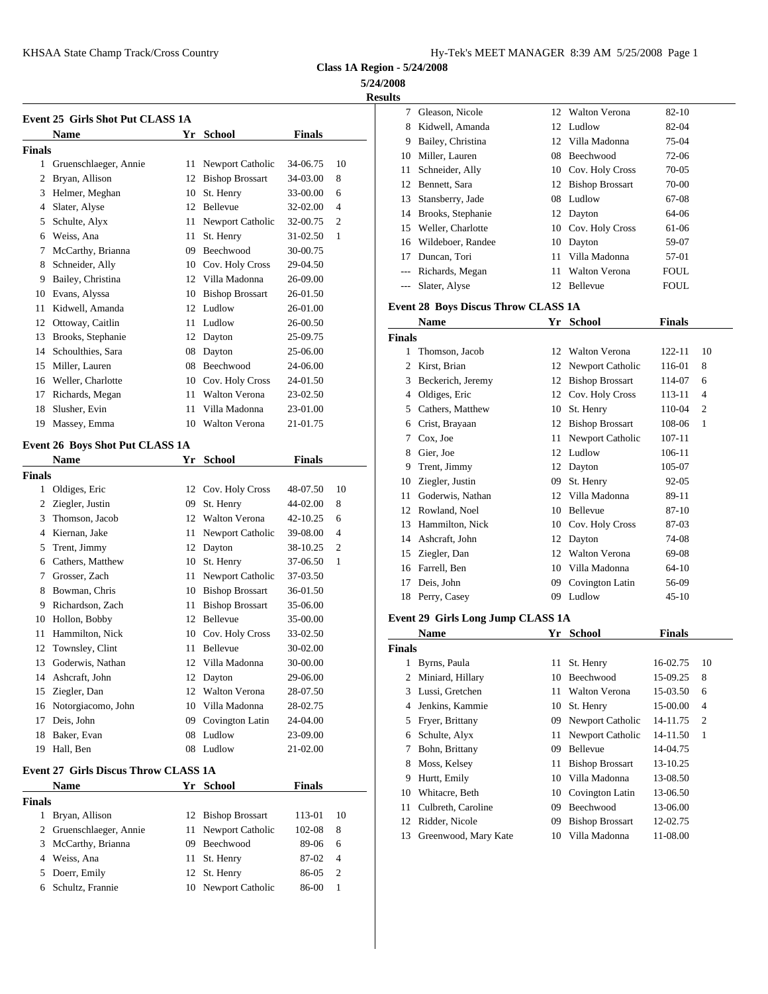**Class 1A Region - 5/24/2008**

**5/24/2008**

**Results**

|               | <b>Event 25 Girls Shot Put CLASS 1A</b>     |    |                        |               |                  | 7              | Gleas         |
|---------------|---------------------------------------------|----|------------------------|---------------|------------------|----------------|---------------|
|               | Name                                        | Yr | School                 | <b>Finals</b> |                  | 8              | Kidw          |
| <b>Finals</b> |                                             |    |                        |               |                  | 9              | <b>Bailey</b> |
|               | 1 Gruenschlaeger, Annie                     |    | 11 Newport Catholic    | 34-06.75      | 10               | 10             | Miller        |
|               | 2 Bryan, Allison                            |    | 12 Bishop Brossart     | 34-03.00      | 8                | 11             | Schne         |
|               | 3 Helmer, Meghan                            |    | 10 St. Henry           | 33-00.00      | 6                | 12             | Benne         |
| 4             | Slater, Alyse                               |    | 12 Bellevue            | 32-02.00      | 4                | 13             | Stansl        |
| 5             | Schulte, Alyx                               | 11 | Newport Catholic       | 32-00.75      | 2                | 14             | <b>Brook</b>  |
| 6             | Weiss, Ana                                  | 11 | St. Henry              | 31-02.50      | 1                | 15             | Welle         |
| $7^{\circ}$   | McCarthy, Brianna                           | 09 | Beechwood              | 30-00.75      |                  | 16             | Wilde         |
| 8             | Schneider, Ally                             | 10 | Cov. Holy Cross        | 29-04.50      |                  | 17             | Dunca         |
| 9             | Bailey, Christina                           |    | 12 Villa Madonna       | 26-09.00      |                  | $\sim$         | Richa         |
| 10            | Evans, Alyssa                               |    | 10 Bishop Brossart     | 26-01.50      |                  |                | Slater        |
| 11            | Kidwell, Amanda                             |    | 12 Ludlow              | 26-01.00      |                  |                | Event 28 B    |
| 12            | Ottoway, Caitlin                            | 11 | Ludlow                 | 26-00.50      |                  |                | Nam           |
| 13            | Brooks, Stephanie                           |    | 12 Dayton              | 25-09.75      |                  | <b>Finals</b>  |               |
| 14            | Schoulthies, Sara                           |    | 08 Dayton              | 25-06.00      |                  | 1              | Thom          |
| 15            | Miller, Lauren                              |    | 08 Beechwood           | 24-06.00      |                  | $\mathfrak{D}$ | Kirst,        |
|               | 16 Weller, Charlotte                        |    | 10 Cov. Holy Cross     | 24-01.50      |                  | 3              | Becke         |
| 17            | Richards, Megan                             | 11 | Walton Verona          | 23-02.50      |                  | $\overline{4}$ | Oldig         |
| 18            | Slusher, Evin                               | 11 | Villa Madonna          | 23-01.00      |                  | 5              | Cathe         |
| 19            | Massey, Emma                                |    | 10 Walton Verona       | 21-01.75      |                  | 6              | Crist,        |
|               |                                             |    |                        |               |                  | 7              | Cox.          |
|               | Event 26 Boys Shot Put CLASS 1A             |    |                        |               |                  | 8              | Gier,         |
|               | <b>Name</b>                                 | Yr | School                 | <b>Finals</b> |                  | 9              | Trent.        |
| <b>Finals</b> |                                             |    |                        |               |                  | 10             | Ziegle        |
| $\mathbf{1}$  | Oldiges, Eric                               |    | 12 Cov. Holy Cross     | 48-07.50      | 10               | 11             | Goder         |
| 2             | Ziegler, Justin                             | 09 | St. Henry              | 44-02.00      | 8                | 12             | Rowla         |
| 3             | Thomson, Jacob                              |    | 12 Walton Verona       | 42-10.25      | 6                | 13             | Hamr          |
| 4             | Kiernan, Jake                               | 11 | Newport Catholic       | 39-08.00      | 4                | 14             | Ashcı         |
| 5             | Trent, Jimmy                                |    | 12 Dayton              | 38-10.25      | 2                | 15             | Ziegle        |
| 6             | Cathers, Matthew                            | 10 | St. Henry              | 37-06.50      | 1                | 16             | Farrel        |
| 7             | Grosser, Zach                               | 11 | Newport Catholic       | 37-03.50      |                  | 17             | Deis,         |
| 8             | Bowman, Chris                               |    | 10 Bishop Brossart     | 36-01.50      |                  | 18             | Perry.        |
| 9             | Richardson, Zach                            | 11 | <b>Bishop Brossart</b> | 35-06.00      |                  |                |               |
| 10            | Hollon, Bobby                               |    | 12 Bellevue            | 35-00.00      |                  |                | Event 29 G    |
| 11            | Hammilton, Nick                             | 10 | Cov. Holy Cross        | 33-02.50      |                  |                | Nam           |
| 12            | Townsley, Clint                             | 11 | Bellevue               | 30-02.00      |                  | <b>Finals</b>  |               |
| 13            | Goderwis, Nathan                            | 12 | Villa Madonna          | 30-00.00      |                  | 1              | <b>Byrns</b>  |
|               | 14 Ashcraft, John                           |    | 12 Dayton              | 29-06.00      |                  | 2              | Minia         |
| 15            | Ziegler, Dan                                |    | 12 Walton Verona       | 28-07.50      |                  | 3              | Lussi.        |
| 16            | Notorgiacomo, John                          | 10 | Villa Madonna          | 28-02.75      |                  | 4              | Jenki         |
| 17            | Deis, John                                  | 09 | Covington Latin        | 24-04.00      |                  | 5              | Fryer.        |
| 18            | Baker, Evan                                 |    | 08 Ludlow              | 23-09.00      |                  | 6              | Schul         |
|               | 19 Hall, Ben                                |    | 08 Ludlow              | 21-02.00      |                  | 7              | Bohn.         |
|               | <b>Event 27 Girls Discus Throw CLASS 1A</b> |    |                        |               |                  | 8              | Moss.         |
|               | Name                                        |    | Yr School              | <b>Finals</b> |                  | 9              | Hurtt,        |
| <b>Finals</b> |                                             |    |                        |               |                  | 10             | Whita         |
| $\mathbf{1}$  | Bryan, Allison                              |    | 12 Bishop Brossart     | 113-01        | 10               | 11             | Culbr         |
| 2             | Gruenschlaeger, Annie                       | 11 | Newport Catholic       | 102-08        | 8                | 12             | Ridde         |
| 3             | McCarthy, Brianna                           | 09 | Beechwood              | 89-06         | 6                | 13             | Green         |
| 4             | Weiss, Ana                                  | 11 | St. Henry              | 87-02         | 4                |                |               |
| 5             | Doerr, Emily                                | 12 | St. Henry              | 86-05         | $\boldsymbol{2}$ |                |               |
| 6             | Schultz, Frannie                            |    | 10 Newport Catholic    | 86-00         | 1                |                |               |
|               |                                             |    |                        |               |                  |                |               |

|          | 7 Gleason, Nicole                          |    | 12 Walton Verona            | 82-10         |                  |
|----------|--------------------------------------------|----|-----------------------------|---------------|------------------|
|          | 8 Kidwell, Amanda                          |    | 12 Ludlow                   | 82-04         |                  |
|          | 9 Bailey, Christina                        | 12 | Villa Madonna               | 75-04         |                  |
|          | 10 Miller, Lauren                          |    | 08 Beechwood<br>72-06       |               |                  |
| 11       | Schneider, Ally                            |    | 10 Cov. Holy Cross          | 70-05         |                  |
|          | 12 Bennett, Sara                           |    | 12 Bishop Brossart<br>70-00 |               |                  |
|          | 13 Stansberry, Jade                        |    | 08 Ludlow                   | 67-08         |                  |
|          | 14 Brooks, Stephanie                       |    | 12 Dayton                   | 64-06         |                  |
|          | 15 Weller, Charlotte                       |    | 10 Cov. Holy Cross          | 61-06         |                  |
|          | 16 Wildeboer, Randee                       |    | 10 Dayton                   | 59-07         |                  |
|          | 17 Duncan, Tori                            | 11 | Villa Madonna               | 57-01         |                  |
|          | --- Richards, Megan                        | 11 | <b>Walton Verona</b>        | FOUL          |                  |
| $\cdots$ | Slater, Alyse                              |    | 12 Bellevue                 | FOUL          |                  |
|          |                                            |    |                             |               |                  |
|          | <b>Event 28 Boys Discus Throw CLASS 1A</b> |    |                             |               |                  |
|          | Name                                       |    | Yr School                   | <b>Finals</b> |                  |
| Finals   |                                            |    |                             |               |                  |
|          | 1 Thomson, Jacob                           |    | 12 Walton Verona            | 122-11        | 10               |
|          | 2 Kirst, Brian                             |    | 12 Newport Catholic         | 116-01        | 8                |
|          | 3 Beckerich, Jeremy                        |    | 12 Bishop Brossart          | 114-07        | 6                |
|          | 4 Oldiges, Eric                            |    | 12 Cov. Holy Cross          | 113-11        | 4                |
|          | 5 Cathers, Matthew                         |    | 10 St. Henry                | 110-04        | 2                |
|          | 6 Crist, Brayaan                           |    | 12 Bishop Brossart          | 108-06        | 1                |
| 7        | Cox, Joe                                   | 11 | Newport Catholic            | 107-11        |                  |
|          | 8 Gier, Joe                                |    | 12 Ludlow                   | 106-11        |                  |
|          | 9 Trent, Jimmy                             |    | 12 Dayton                   | 105-07        |                  |
|          | 10 Ziegler, Justin                         | 09 | St. Henry                   | 92-05         |                  |
|          | 11 Goderwis, Nathan                        |    | 12 Villa Madonna            | 89-11         |                  |
|          | 12 Rowland, Noel                           |    | 10 Bellevue                 | 87-10         |                  |
|          | 13 Hammilton, Nick                         |    | 10 Cov. Holy Cross          | 87-03         |                  |
|          | 14 Ashcraft, John                          |    | 12 Dayton                   | 74-08         |                  |
|          | 15 Ziegler, Dan                            |    | 12 Walton Verona            | 69-08         |                  |
|          | 16 Farrell, Ben                            | 10 | Villa Madonna               | 64-10         |                  |
|          | 17 Deis, John                              |    | 09 Covington Latin          | 56-09         |                  |
|          | 18 Perry, Casey                            |    | 09 Ludlow                   | 45-10         |                  |
|          |                                            |    |                             |               |                  |
|          | Event 29 Girls Long Jump CLASS 1A          |    |                             |               |                  |
|          | Name                                       |    | Yr School                   | <b>Finals</b> |                  |
| Finals   |                                            |    |                             |               |                  |
| 1        | Byrns, Paula                               | 11 | St. Henry                   | 16-02.75      | 10               |
| 2        | Miniard, Hillary                           | 10 | Beechwood                   | 15-09.25      | 8                |
| 3        | Lussi, Gretchen                            | 11 | Walton Verona               | 15-03.50      | 6                |
| 4        | Jenkins, Kammie                            | 10 | St. Henry                   | 15-00.00      | 4                |
| 5        | Fryer, Brittany                            | 09 | Newport Catholic            | 14-11.75      | $\boldsymbol{2}$ |
| 6        | Schulte, Alyx                              | 11 | Newport Catholic            | 14-11.50      | 1                |
| 7        | Bohn, Brittany                             | 09 | Bellevue                    | 14-04.75      |                  |
| 8        | Moss, Kelsey                               | 11 | <b>Bishop Brossart</b>      | 13-10.25      |                  |
| 9        | Hurtt, Emily                               | 10 | Villa Madonna               | 13-08.50      |                  |
| 10       | Whitacre, Beth                             | 10 | Covington Latin             | 13-06.50      |                  |
| 11       | Culbreth, Caroline                         | 09 | Beechwood                   | 13-06.00      |                  |
| 12       | Ridder, Nicole                             | 09 | <b>Bishop Brossart</b>      | 12-02.75      |                  |
| 13       | Greenwood, Mary Kate                       | 10 | Villa Madonna               | 11-08.00      |                  |
|          |                                            |    |                             |               |                  |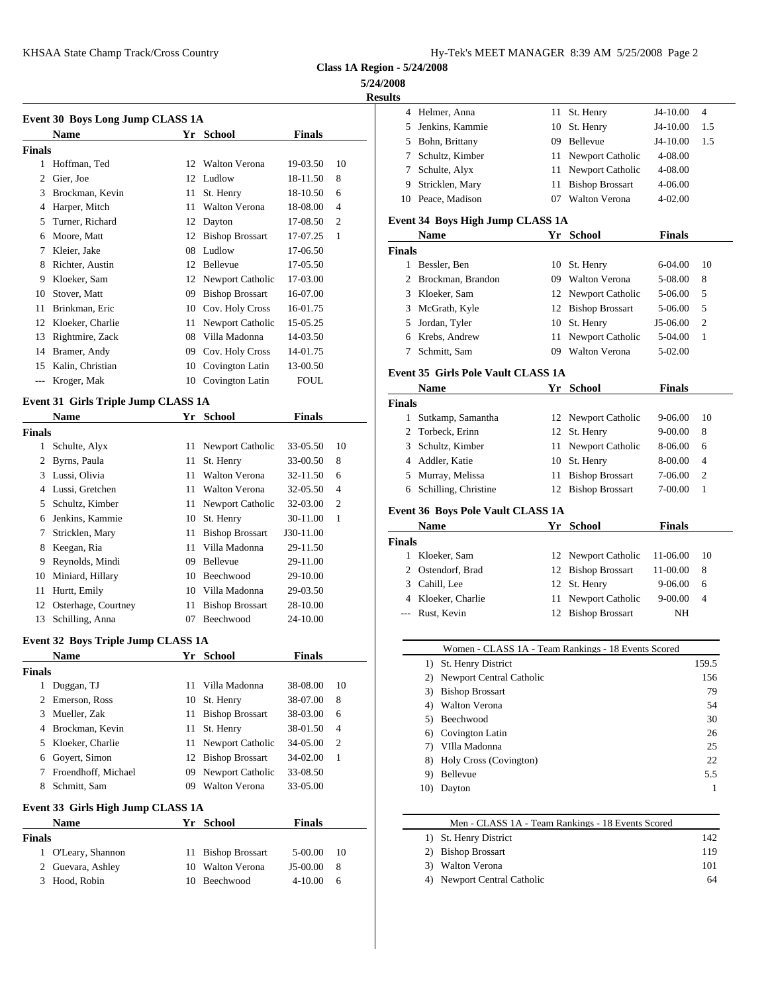| Hy-Tek's MEET MANAGER  8:39 AM  5/25/2008  Page 2 |  |  |  |
|---------------------------------------------------|--|--|--|
|---------------------------------------------------|--|--|--|

**Class 1A Region - 5/24/2008**

## **5/24/2008**

| Kesults |
|---------|
|         |

|        | Event 30 Boys Long Jump CLASS 1A |    |                        |               |                | 4             | Helm         |
|--------|----------------------------------|----|------------------------|---------------|----------------|---------------|--------------|
|        | <b>Name</b>                      |    | Yr School              | <b>Finals</b> |                | 5             | Jenkii       |
| Finals |                                  |    |                        |               |                | 5             | Bohn,        |
|        |                                  |    |                        |               |                | 7             | Schul        |
| 1      | Hoffman, Ted                     | 12 | <b>Walton Verona</b>   | 19-03.50      | 10             |               | Schul        |
| 2      | Gier, Joe                        |    | 12 Ludlow              | 18-11.50      | 8              | 9             | Strick       |
| 3      | Brockman, Kevin                  | 11 | St. Henry              | 18-10.50      | 6              | 10            | Peace        |
| 4      | Harper, Mitch                    | 11 | <b>Walton Verona</b>   | 18-08.00      | $\overline{4}$ |               |              |
| 5      | Turner, Richard                  |    | 12 Dayton              | 17-08.50      | $\overline{2}$ | Event 34 B    |              |
| 6      | Moore, Matt                      | 12 | <b>Bishop Brossart</b> | 17-07.25      | 1              |               | <b>Nam</b>   |
| 7      | Kleier, Jake                     | 08 | Ludlow                 | 17-06.50      |                | <b>Finals</b> |              |
| 8      | Richter, Austin                  |    | 12 Bellevue            | 17-05.50      |                | 1             | Bessl        |
| 9      | Kloeker, Sam                     |    | 12 Newport Catholic    | 17-03.00      |                | 2             | <b>Brock</b> |
| 10     | Stover, Matt                     | 09 | <b>Bishop Brossart</b> | 16-07.00      |                | 3             | Kloek        |
| 11     | Brinkman, Eric                   | 10 | Cov. Holy Cross        | 16-01.75      |                | 3             | McGr         |
| 12     | Kloeker, Charlie                 | 11 | Newport Catholic       | 15-05.25      |                | 5             | Jorda        |
| 13     | Rightmire, Zack                  | 08 | Villa Madonna          | 14-03.50      |                |               | Krebs        |
| 14     | Bramer, Andy                     | 09 | Cov. Holy Cross        | 14-01.75      |                |               | Schm         |
| 15     | Kalin, Christian                 | 10 | Covington Latin        | 13-00.50      |                | Event 35 G    |              |
|        | Kroger, Mak                      | 10 | Covington Latin        | <b>FOUL</b>   |                |               | Nam          |
|        |                                  |    |                        |               |                |               |              |

## **Event 31 Girls Triple Jump CLASS 1A**

|        | <b>Name</b>         |    | Yr School              | <b>Finals</b> |                |                             | Sutka      |
|--------|---------------------|----|------------------------|---------------|----------------|-----------------------------|------------|
| Finals |                     |    |                        |               |                | $\mathcal{D}_{\mathcal{L}}$ | Torbe      |
| 1      | Schulte, Alyx       |    | 11 Newport Catholic    | 33-05.50      | 10             | 3                           | Schul      |
| 2      | Byrns, Paula        | 11 | St. Henry              | 33-00.50      | 8              | 4                           | Addle      |
| 3      | Lussi, Olivia       | 11 | Walton Verona          | 32-11.50      | 6              | 5                           | Murra      |
|        | Lussi, Gretchen     |    | 11 Walton Verona       | 32-05.50      | $\overline{4}$ | 6                           | Schill     |
| 5      | Schultz, Kimber     |    | 11 Newport Catholic    | 32-03.00      | $\overline{2}$ |                             |            |
| 6      | Jenkins, Kammie     | 10 | St. Henry              | 30-11.00      | 1              | Event 36 B                  |            |
| 7      | Stricklen, Mary     | 11 | <b>Bishop Brossart</b> | J30-11.00     |                |                             | <b>Nam</b> |
| 8      | Keegan, Ria         | 11 | Villa Madonna          | 29-11.50      |                | <b>Finals</b>               |            |
| 9      | Reynolds, Mindi     | 09 | <b>Bellevue</b>        | 29-11.00      |                |                             | Kloek      |
| 10     | Miniard, Hillary    |    | 10 Beechwood           | 29-10.00      |                | 2                           | Osten      |
| 11     | Hurtt, Emily        |    | 10 Villa Madonna       | 29-03.50      |                | 3                           | Cahill     |
| 12     | Osterhage, Courtney | 11 | <b>Bishop Brossart</b> | 28-10.00      |                |                             | Kloek      |
| 13     | Schilling, Anna     | 07 | Beechwood              | 24-10.00      |                |                             | Rust,      |
|        |                     |    |                        |               |                |                             |            |

## **Event 32 Boys Triple Jump CLASS 1A**

|        | <b>Name</b>                       | Yr | <b>School</b>          | <b>Finals</b> |                |
|--------|-----------------------------------|----|------------------------|---------------|----------------|
| Finals |                                   |    |                        |               |                |
|        | Duggan, TJ                        |    | 11 Villa Madonna       | 38-08.00      | 10             |
|        | Emerson, Ross                     | 10 | St. Henry              | 38-07.00      | 8              |
| 3      | Mueller, Zak                      | 11 | <b>Bishop Brossart</b> | 38-03.00      | 6              |
| 4      | Brockman, Kevin                   | 11 | St. Henry              | 38-01.50      | $\overline{4}$ |
| 5.     | Kloeker, Charlie                  | 11 | Newport Catholic       | 34-05.00      | $\overline{c}$ |
| 6      | Goyert, Simon                     |    | 12 Bishop Brossart     | 34-02.00      | 1              |
| 7      | Froendhoff, Michael               | 09 | Newport Catholic       | 33-08.50      |                |
| 8      | Schmitt, Sam                      | 09 | <b>Walton Verona</b>   | 33-05.00      |                |
|        | Event 33 Girls High Jump CLASS 1A |    |                        |               |                |
|        | <b>Name</b>                       |    | Yr School              | <b>Finals</b> |                |
| Finals |                                   |    |                        |               |                |
|        | O'Leary, Shannon                  | 11 | <b>Bishop Brossart</b> | 5-00.00       | 10             |
|        | Guevara, Ashley                   | 10 | <b>Walton Verona</b>   | $J5-00.00$    | 8              |
| 3      | Hood, Robin                       | 10 | Beechwood              | $4 - 10.00$   | 6              |
|        |                                   |    |                        |               |                |

| <b>Results</b> |                                                         |     |                                      |               |                |
|----------------|---------------------------------------------------------|-----|--------------------------------------|---------------|----------------|
|                | 4 Helmer, Anna                                          |     | 11 St. Henry                         | J4-10.00      | 4              |
| 5              | Jenkins, Kammie                                         |     | 10 St. Henry                         | J4-10.00      | 1.5            |
|                | 5 Bohn, Brittany                                        |     | 09 Bellevue                          | J4-10.00      | 1.5            |
|                | 7 Schultz, Kimber                                       |     | 11 Newport Catholic                  | 4-08.00       |                |
|                | 7 Schulte, Alyx                                         |     | 11 Newport Catholic                  | 4-08.00       |                |
| 9              | Stricklen, Mary                                         |     | 11 Bishop Brossart                   | 4-06.00       |                |
|                | 10 Peace, Madison                                       |     | 07 Walton Verona                     | 4-02.00       |                |
|                | Event 34 Boys High Jump CLASS 1A                        |     |                                      |               |                |
|                | Name                                                    |     | Yr School                            | <b>Finals</b> |                |
| <b>Finals</b>  |                                                         |     |                                      |               |                |
|                | 1 Bessler, Ben                                          |     | 10 St. Henry                         | 6-04.00       | 10             |
|                | 2 Brockman, Brandon                                     |     | 09 Walton Verona                     | 5-08.00       | 8              |
|                | 3 Kloeker, Sam                                          |     | 12 Newport Catholic                  | 5-06.00       | 5              |
|                | 3 McGrath, Kyle                                         |     | 12 Bishop Brossart                   | 5-06.00       | 5              |
|                | 5 Jordan, Tyler<br>6 Krebs, Andrew                      |     | 10 St. Henry                         | J5-06.00      | 2              |
|                | 7 Schmitt, Sam                                          | 11  | Newport Catholic<br>09 Walton Verona | 5-04.00       | $\mathbf{1}$   |
|                |                                                         |     |                                      | 5-02.00       |                |
|                | <b>Event 35 Girls Pole Vault CLASS 1A</b>               |     |                                      |               |                |
|                | <b>Name</b>                                             |     | Yr School                            | <b>Finals</b> |                |
| <b>Finals</b>  | 1 Sutkamp, Samantha                                     |     | 12 Newport Catholic                  | 9-06.00       | 10             |
|                | 2 Torbeck, Erinn                                        |     | 12 St. Henry                         | 9-00.00       | 8              |
|                | 3 Schultz, Kimber                                       | 11. | Newport Catholic                     | 8-06.00       | 6              |
|                | 4 Addler, Katie                                         | 10  | St. Henry                            | 8-00.00       | 4              |
|                | 5 Murray, Melissa                                       | 11  | <b>Bishop Brossart</b>               | 7-06.00       | 2              |
| 6              | Schilling, Christine                                    |     | 12 Bishop Brossart                   | 7-00.00       | 1              |
|                |                                                         |     |                                      |               |                |
|                | <b>Event 36 Boys Pole Vault CLASS 1A</b><br><b>Name</b> |     | Yr School                            | <b>Finals</b> |                |
| <b>Finals</b>  |                                                         |     |                                      |               |                |
|                | 1 Kloeker, Sam                                          |     | 12 Newport Catholic                  | 11-06.00      | 10             |
|                | 2 Ostendorf, Brad                                       |     | 12 Bishop Brossart                   | 11-00.00      | 8              |
|                | 3 Cahill, Lee                                           |     | 12 St. Henry                         | 9-06.00       | 6              |
|                | 4 Kloeker, Charlie                                      | 11  | Newport Catholic                     | 9-00.00       | $\overline{4}$ |
| $---$          | Rust, Kevin                                             |     | 12 Bishop Brossart                   | NH            |                |
|                |                                                         |     |                                      |               |                |
|                | Women - CLASS 1A - Team Rankings - 18 Events Scored     |     |                                      |               |                |
|                | 1) St. Henry District                                   |     |                                      |               | 159.5          |
|                | Newport Central Catholic<br>2)                          |     |                                      |               | 156            |
|                | 3) Bishop Brossart                                      |     |                                      |               | 79             |
|                | 4) Walton Verona                                        |     |                                      |               | 54             |
|                | Beechwood<br>5)                                         |     |                                      |               | 30             |
|                | Covington Latin<br>6)                                   |     |                                      |               | 26             |
|                | VIlla Madonna<br>7)                                     |     |                                      |               | 25             |
|                | Holy Cross (Covington)<br>8)                            |     |                                      |               | 22             |
|                | 9) Bellevue                                             |     |                                      |               | 5.5            |
|                | 10) Dayton                                              |     |                                      |               | 1              |
|                | Men - CLASS 1A - Team Rankings - 18 Events Scored       |     |                                      |               |                |
|                | St. Henry District<br>1)                                |     |                                      |               | 142            |
|                | <b>Bishop Brossart</b><br>2)                            |     |                                      |               | 119            |
|                | Walton Verona<br>3)                                     |     |                                      |               | 101            |

4) Newport Central Catholic 64